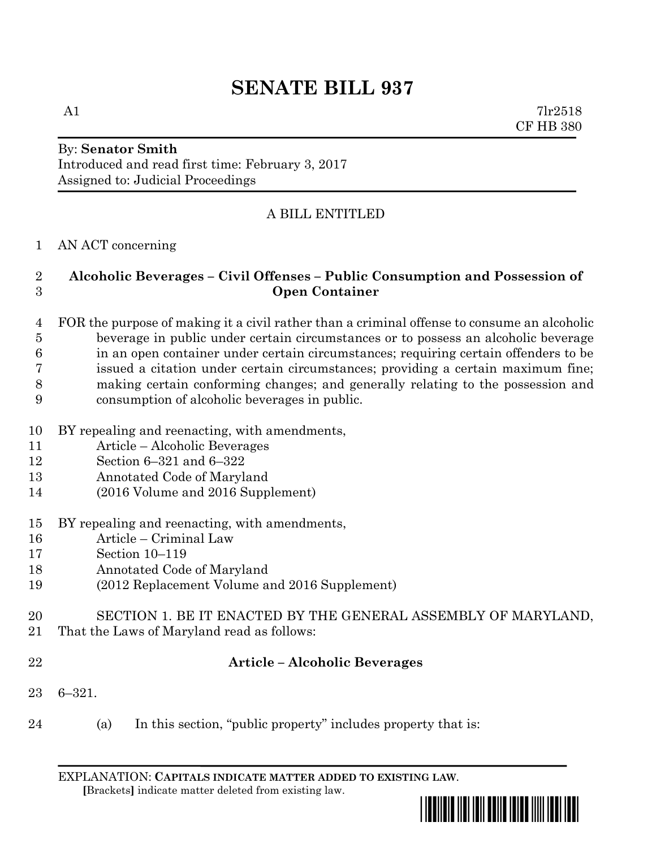A1  $7\text{lr}2518$ CF HB 380

## By: **Senator Smith** Introduced and read first time: February 3, 2017 Assigned to: Judicial Proceedings

## A BILL ENTITLED

#### AN ACT concerning

## **Alcoholic Beverages – Civil Offenses – Public Consumption and Possession of Open Container**

- FOR the purpose of making it a civil rather than a criminal offense to consume an alcoholic beverage in public under certain circumstances or to possess an alcoholic beverage in an open container under certain circumstances; requiring certain offenders to be issued a citation under certain circumstances; providing a certain maximum fine; making certain conforming changes; and generally relating to the possession and consumption of alcoholic beverages in public.
- BY repealing and reenacting, with amendments,
- Article Alcoholic Beverages
- Section 6–321 and 6–322
- Annotated Code of Maryland
- (2016 Volume and 2016 Supplement)
- BY repealing and reenacting, with amendments,
- Article Criminal Law
- Section 10–119
- Annotated Code of Maryland
- (2012 Replacement Volume and 2016 Supplement)
- SECTION 1. BE IT ENACTED BY THE GENERAL ASSEMBLY OF MARYLAND,
- That the Laws of Maryland read as follows:
- 

## **Article – Alcoholic Beverages**

- 6–321.
- (a) In this section, "public property" includes property that is:

EXPLANATION: **CAPITALS INDICATE MATTER ADDED TO EXISTING LAW**.  **[**Brackets**]** indicate matter deleted from existing law.

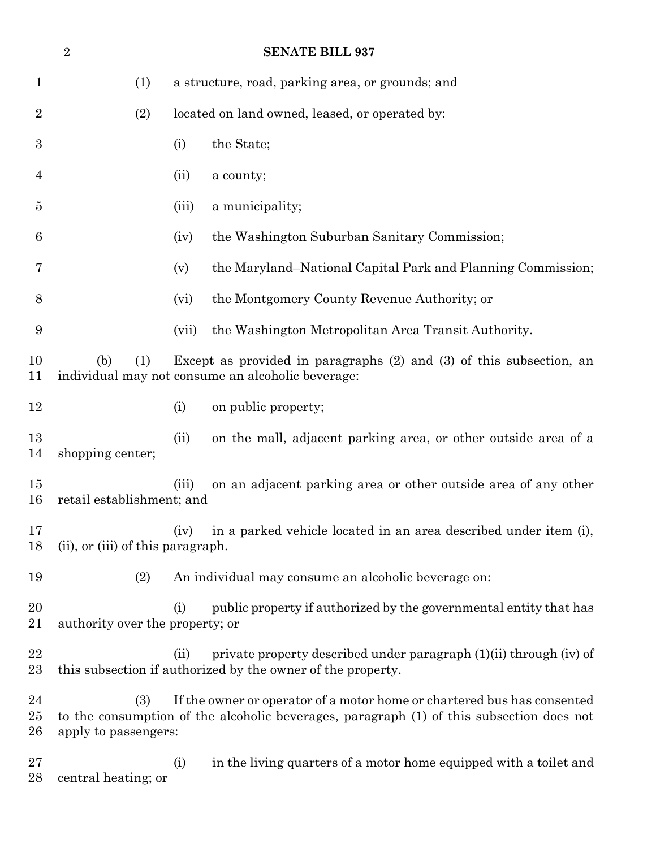|                        | <b>SENATE BILL 937</b><br>$\overline{2}$ |       |                                                                                                                                                                     |  |  |  |
|------------------------|------------------------------------------|-------|---------------------------------------------------------------------------------------------------------------------------------------------------------------------|--|--|--|
| 1                      | (1)                                      |       | a structure, road, parking area, or grounds; and                                                                                                                    |  |  |  |
| $\overline{2}$         | (2)                                      |       | located on land owned, leased, or operated by:                                                                                                                      |  |  |  |
| $\boldsymbol{3}$       |                                          | (i)   | the State;                                                                                                                                                          |  |  |  |
| 4                      |                                          | (ii)  | a county;                                                                                                                                                           |  |  |  |
| 5                      |                                          | (iii) | a municipality;                                                                                                                                                     |  |  |  |
| 6                      |                                          | (iv)  | the Washington Suburban Sanitary Commission;                                                                                                                        |  |  |  |
| 7                      |                                          | (v)   | the Maryland–National Capital Park and Planning Commission;                                                                                                         |  |  |  |
| 8                      |                                          | (vi)  | the Montgomery County Revenue Authority; or                                                                                                                         |  |  |  |
| 9                      |                                          | (vii) | the Washington Metropolitan Area Transit Authority.                                                                                                                 |  |  |  |
| 10<br>11               | (b)<br>(1)                               |       | Except as provided in paragraphs $(2)$ and $(3)$ of this subsection, an<br>individual may not consume an alcoholic beverage:                                        |  |  |  |
| 12                     |                                          | (i)   | on public property;                                                                                                                                                 |  |  |  |
| 13<br>14               | shopping center;                         | (ii)  | on the mall, adjacent parking area, or other outside area of a                                                                                                      |  |  |  |
| 15<br>16               | retail establishment; and                | (iii) | on an adjacent parking area or other outside area of any other                                                                                                      |  |  |  |
| 17<br>18               | (ii), or (iii) of this paragraph.        | (iv)  | in a parked vehicle located in an area described under item (i),                                                                                                    |  |  |  |
| 19                     | (2)                                      |       | An individual may consume an alcoholic beverage on:                                                                                                                 |  |  |  |
| 20<br>21               | authority over the property; or          | (i)   | public property if authorized by the governmental entity that has                                                                                                   |  |  |  |
| 22<br>23               |                                          | (ii)  | private property described under paragraph (1)(ii) through (iv) of<br>this subsection if authorized by the owner of the property.                                   |  |  |  |
| 24<br>$25\,$<br>$26\,$ | (3)<br>apply to passengers:              |       | If the owner or operator of a motor home or chartered bus has consented<br>to the consumption of the alcoholic beverages, paragraph (1) of this subsection does not |  |  |  |
| $27\,$<br>28           | central heating; or                      | (i)   | in the living quarters of a motor home equipped with a toilet and                                                                                                   |  |  |  |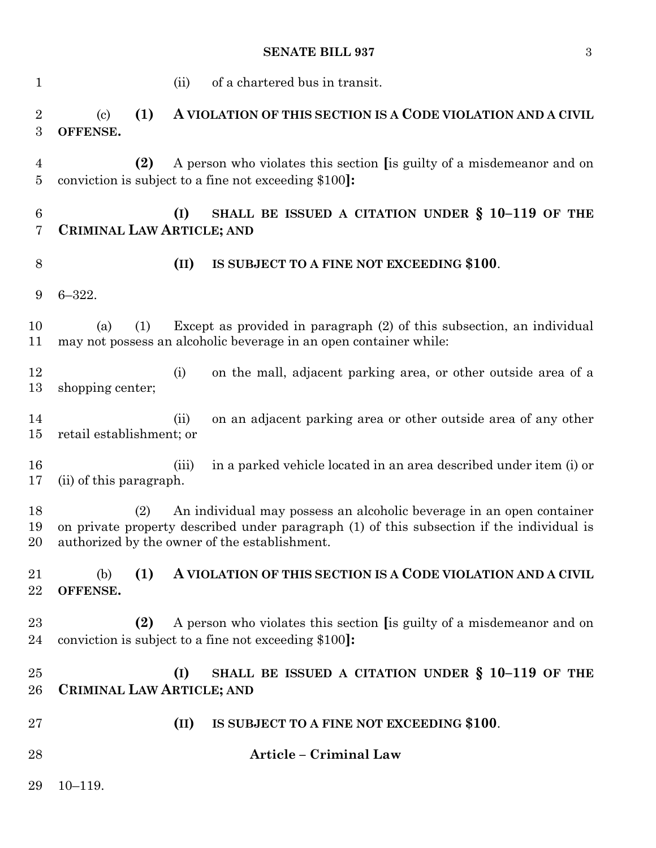## **SENATE BILL 937** 3

| $\mathbf{1}$          | of a chartered bus in transit.<br>(ii)                                                                                                                                                                                    |  |  |  |  |
|-----------------------|---------------------------------------------------------------------------------------------------------------------------------------------------------------------------------------------------------------------------|--|--|--|--|
| $\boldsymbol{2}$<br>3 | (1)<br>A VIOLATION OF THIS SECTION IS A CODE VIOLATION AND A CIVIL<br>$\left( \mathrm{c}\right)$<br>OFFENSE.                                                                                                              |  |  |  |  |
| 4<br>5                | (2)<br>A person who violates this section [is guilty of a misdemeanor and on<br>conviction is subject to a fine not exceeding \$100.                                                                                      |  |  |  |  |
| 6<br>7                | SHALL BE ISSUED A CITATION UNDER $\S$ 10-119 OF THE<br>(I)<br>CRIMINAL LAW ARTICLE; AND                                                                                                                                   |  |  |  |  |
| 8                     | (II)<br>IS SUBJECT TO A FINE NOT EXCEEDING \$100.                                                                                                                                                                         |  |  |  |  |
| 9                     | $6 - 322.$                                                                                                                                                                                                                |  |  |  |  |
| 10<br>11              | Except as provided in paragraph (2) of this subsection, an individual<br>(1)<br>(a)<br>may not possess an alcoholic beverage in an open container while:                                                                  |  |  |  |  |
| 12<br>13              | on the mall, adjacent parking area, or other outside area of a<br>(i)<br>shopping center;                                                                                                                                 |  |  |  |  |
| 14<br>15              | on an adjacent parking area or other outside area of any other<br>(ii)<br>retail establishment; or                                                                                                                        |  |  |  |  |
| 16<br>17              | in a parked vehicle located in an area described under item (i) or<br>(iii)<br>(ii) of this paragraph.                                                                                                                    |  |  |  |  |
| 18<br>19<br>20        | An individual may possess an alcoholic beverage in an open container<br>(2)<br>on private property described under paragraph (1) of this subsection if the individual is<br>authorized by the owner of the establishment. |  |  |  |  |
| 21<br>22              | (1)<br>A VIOLATION OF THIS SECTION IS A CODE VIOLATION AND A CIVIL<br>(b)<br>OFFENSE.                                                                                                                                     |  |  |  |  |
| 23<br>24              | (2)<br>A person who violates this section [is guilty of a misdemeanor and on<br>conviction is subject to a fine not exceeding \$100.                                                                                      |  |  |  |  |
| 25<br>26              | SHALL BE ISSUED A CITATION UNDER § 10-119 OF THE<br>(I)<br>CRIMINAL LAW ARTICLE; AND                                                                                                                                      |  |  |  |  |
| 27                    | (II)<br>IS SUBJECT TO A FINE NOT EXCEEDING \$100.                                                                                                                                                                         |  |  |  |  |
| 28                    | Article - Criminal Law                                                                                                                                                                                                    |  |  |  |  |
| 29                    | $10 - 119.$                                                                                                                                                                                                               |  |  |  |  |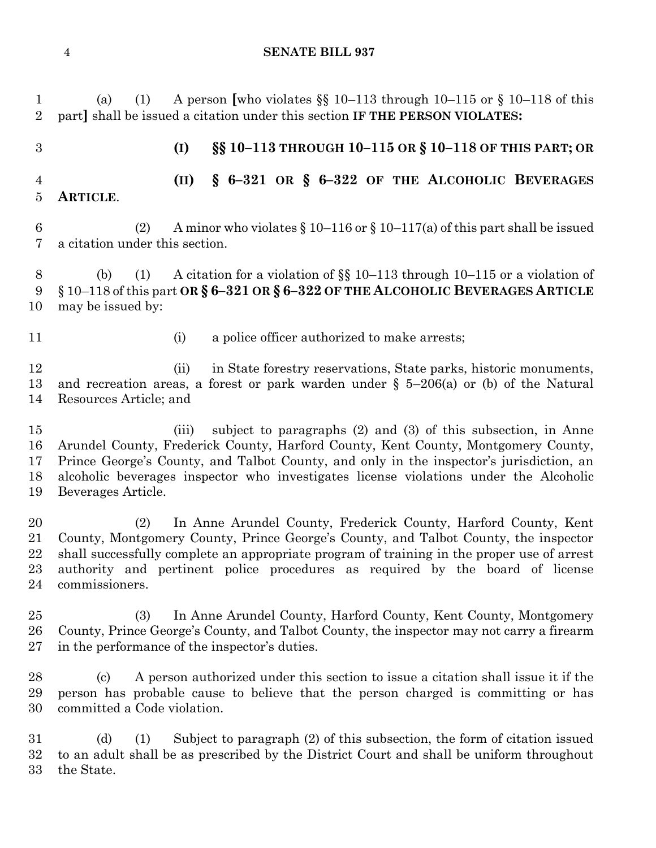(a) (1) A person **[**who violates §§ 10–113 through 10–115 or § 10–118 of this part**]** shall be issued a citation under this section **IF THE PERSON VIOLATES: (I) §§ 10–113 THROUGH 10–115 OR § 10–118 OF THIS PART; OR (II) § 6–321 OR § 6–322 OF THE ALCOHOLIC BEVERAGES ARTICLE**. 6 (2) A minor who violates  $\S 10-116$  or  $\S 10-117(a)$  of this part shall be issued a citation under this section. 8 (b) (1) A citation for a violation of  $\S$  10–113 through 10–115 or a violation of § 10–118 of this part **OR § 6–321 OR § 6–322 OF THE ALCOHOLIC BEVERAGES ARTICLE** may be issued by: 11 (i) a police officer authorized to make arrests; (ii) in State forestry reservations, State parks, historic monuments, and recreation areas, a forest or park warden under § 5–206(a) or (b) of the Natural Resources Article; and (iii) subject to paragraphs (2) and (3) of this subsection, in Anne Arundel County, Frederick County, Harford County, Kent County, Montgomery County, Prince George's County, and Talbot County, and only in the inspector's jurisdiction, an alcoholic beverages inspector who investigates license violations under the Alcoholic Beverages Article. (2) In Anne Arundel County, Frederick County, Harford County, Kent County, Montgomery County, Prince George's County, and Talbot County, the inspector shall successfully complete an appropriate program of training in the proper use of arrest authority and pertinent police procedures as required by the board of license commissioners. (3) In Anne Arundel County, Harford County, Kent County, Montgomery County, Prince George's County, and Talbot County, the inspector may not carry a firearm in the performance of the inspector's duties. (c) A person authorized under this section to issue a citation shall issue it if the person has probable cause to believe that the person charged is committing or has committed a Code violation. (d) (1) Subject to paragraph (2) of this subsection, the form of citation issued to an adult shall be as prescribed by the District Court and shall be uniform throughout

the State.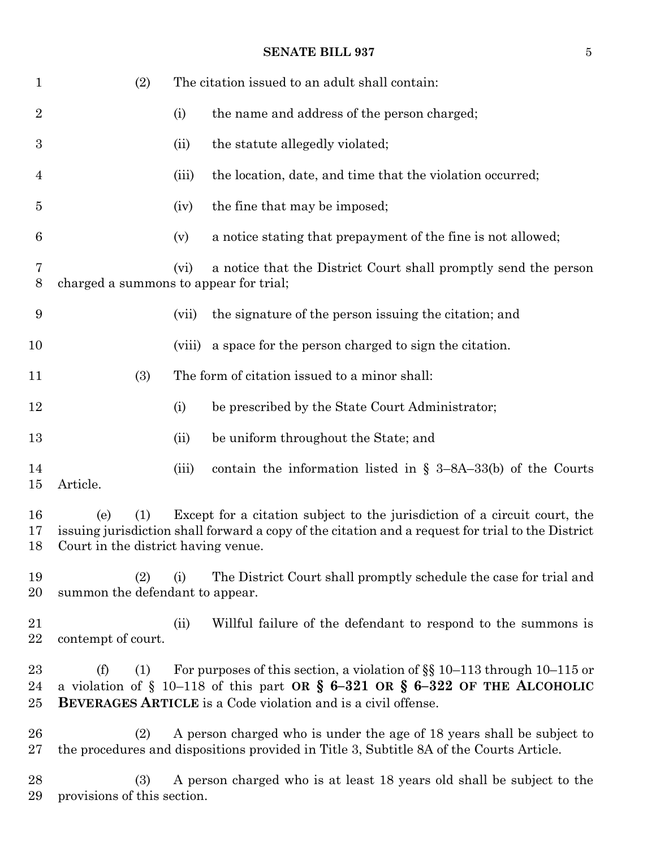## **SENATE BILL 937** 5

| 1                | (2)                                                                                                                                                                                                                                  |        | The citation issued to an adult shall contain:                                                                                                                                                                                             |  |  |  |
|------------------|--------------------------------------------------------------------------------------------------------------------------------------------------------------------------------------------------------------------------------------|--------|--------------------------------------------------------------------------------------------------------------------------------------------------------------------------------------------------------------------------------------------|--|--|--|
| $\boldsymbol{2}$ |                                                                                                                                                                                                                                      | (i)    | the name and address of the person charged;                                                                                                                                                                                                |  |  |  |
| 3                |                                                                                                                                                                                                                                      | (ii)   | the statute allegedly violated;                                                                                                                                                                                                            |  |  |  |
| $\overline{4}$   |                                                                                                                                                                                                                                      | (iii)  | the location, date, and time that the violation occurred;                                                                                                                                                                                  |  |  |  |
| $\overline{5}$   |                                                                                                                                                                                                                                      | (iv)   | the fine that may be imposed;                                                                                                                                                                                                              |  |  |  |
| 6                |                                                                                                                                                                                                                                      | (v)    | a notice stating that prepayment of the fine is not allowed;                                                                                                                                                                               |  |  |  |
| 7<br>8           | charged a summons to appear for trial;                                                                                                                                                                                               | (vi)   | a notice that the District Court shall promptly send the person                                                                                                                                                                            |  |  |  |
| 9                |                                                                                                                                                                                                                                      | (vii)  | the signature of the person issuing the citation; and                                                                                                                                                                                      |  |  |  |
| 10               |                                                                                                                                                                                                                                      | (viii) | a space for the person charged to sign the citation.                                                                                                                                                                                       |  |  |  |
| 11               | The form of citation issued to a minor shall:<br>(3)                                                                                                                                                                                 |        |                                                                                                                                                                                                                                            |  |  |  |
| 12               |                                                                                                                                                                                                                                      | (i)    | be prescribed by the State Court Administrator;                                                                                                                                                                                            |  |  |  |
| 13               |                                                                                                                                                                                                                                      | (ii)   | be uniform throughout the State; and                                                                                                                                                                                                       |  |  |  |
| 14<br>15         | Article.                                                                                                                                                                                                                             | (iii)  | contain the information listed in $\S$ 3-8A-33(b) of the Courts                                                                                                                                                                            |  |  |  |
| 16<br>17<br>18   | Except for a citation subject to the jurisdiction of a circuit court, the<br>(1)<br>(e)<br>is suing jurisdiction shall forward a copy of the citation and a request for trial to the District<br>Court in the district having venue. |        |                                                                                                                                                                                                                                            |  |  |  |
| 19<br>20         | (2)<br>summon the defendant to appear.                                                                                                                                                                                               | (i)    | The District Court shall promptly schedule the case for trial and                                                                                                                                                                          |  |  |  |
| 21<br>22         | contempt of court.                                                                                                                                                                                                                   | (ii)   | Willful failure of the defendant to respond to the summons is                                                                                                                                                                              |  |  |  |
| 23<br>24<br>25   | (f)<br>(1)                                                                                                                                                                                                                           |        | For purposes of this section, a violation of $\S$ 10–113 through 10–115 or<br>a violation of $\S$ 10-118 of this part OR $\S$ 6-321 OR $\S$ 6-322 OF THE ALCOHOLIC<br><b>BEVERAGES ARTICLE</b> is a Code violation and is a civil offense. |  |  |  |
| 26<br>27         | (2)                                                                                                                                                                                                                                  |        | A person charged who is under the age of 18 years shall be subject to<br>the procedures and dispositions provided in Title 3, Subtitle 8A of the Courts Article.                                                                           |  |  |  |
| 28<br>29         | (3)<br>provisions of this section.                                                                                                                                                                                                   |        | A person charged who is at least 18 years old shall be subject to the                                                                                                                                                                      |  |  |  |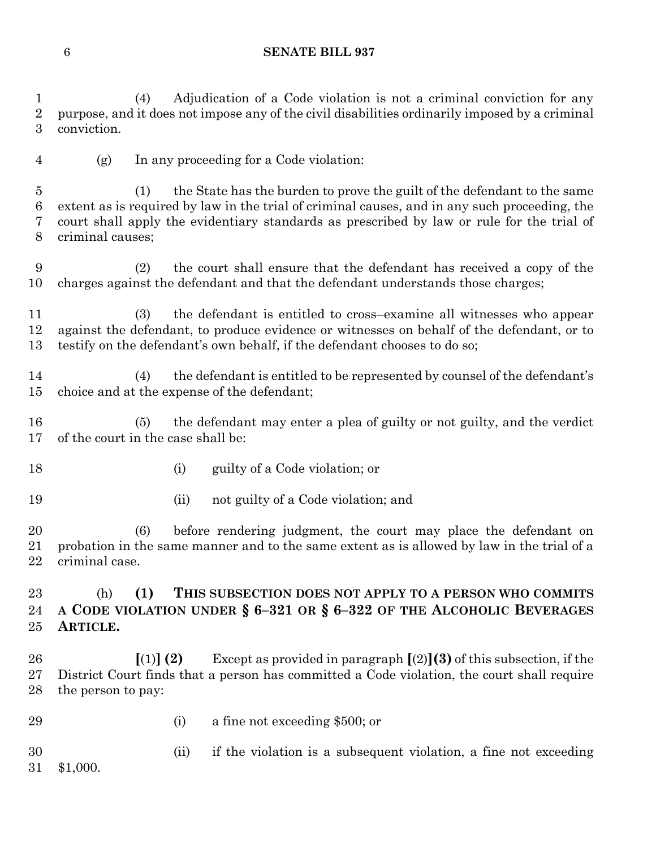(4) Adjudication of a Code violation is not a criminal conviction for any purpose, and it does not impose any of the civil disabilities ordinarily imposed by a criminal conviction.

(g) In any proceeding for a Code violation:

 (1) the State has the burden to prove the guilt of the defendant to the same extent as is required by law in the trial of criminal causes, and in any such proceeding, the court shall apply the evidentiary standards as prescribed by law or rule for the trial of criminal causes;

 (2) the court shall ensure that the defendant has received a copy of the charges against the defendant and that the defendant understands those charges;

 (3) the defendant is entitled to cross–examine all witnesses who appear against the defendant, to produce evidence or witnesses on behalf of the defendant, or to testify on the defendant's own behalf, if the defendant chooses to do so;

 (4) the defendant is entitled to be represented by counsel of the defendant's choice and at the expense of the defendant;

 (5) the defendant may enter a plea of guilty or not guilty, and the verdict of the court in the case shall be:

- 18 (i) guilty of a Code violation; or
- 19 (ii) not guilty of a Code violation; and

 (6) before rendering judgment, the court may place the defendant on probation in the same manner and to the same extent as is allowed by law in the trial of a criminal case.

 (h) **(1) THIS SUBSECTION DOES NOT APPLY TO A PERSON WHO COMMITS A CODE VIOLATION UNDER § 6–321 OR § 6–322 OF THE ALCOHOLIC BEVERAGES ARTICLE.**

 **[**(1)**] (2)** Except as provided in paragraph **[**(2)**](3)** of this subsection, if the District Court finds that a person has committed a Code violation, the court shall require the person to pay:

- 
- (i) a fine not exceeding \$500; or

 (ii) if the violation is a subsequent violation, a fine not exceeding \$1,000.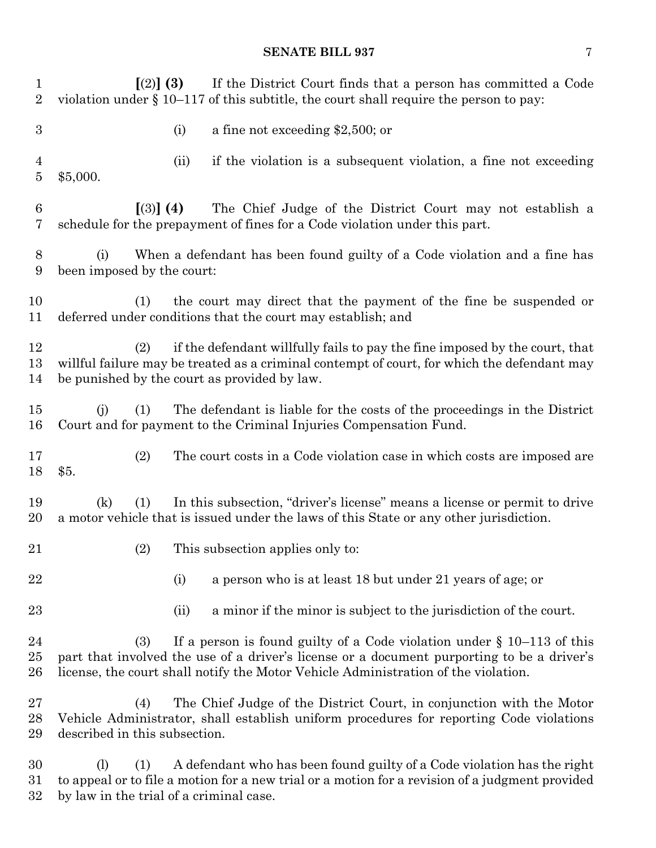## **SENATE BILL 937** 7

| $\mathbf{1}$<br>$\sqrt{2}$ | $(2)$ (3)<br>If the District Court finds that a person has committed a Code<br>violation under $\S 10-117$ of this subtitle, the court shall require the person to pay:                                                                                              |  |  |  |  |  |
|----------------------------|----------------------------------------------------------------------------------------------------------------------------------------------------------------------------------------------------------------------------------------------------------------------|--|--|--|--|--|
| $\boldsymbol{3}$           | a fine not exceeding $$2,500$ ; or<br>(i)                                                                                                                                                                                                                            |  |  |  |  |  |
| $\overline{4}$<br>$\bf 5$  | if the violation is a subsequent violation, a fine not exceeding<br>(ii)<br>\$5,000.                                                                                                                                                                                 |  |  |  |  |  |
| $\,6\,$<br>7               | $(3)$ (4)<br>The Chief Judge of the District Court may not establish a<br>schedule for the prepayment of fines for a Code violation under this part.                                                                                                                 |  |  |  |  |  |
| $8\,$<br>9                 | When a defendant has been found guilty of a Code violation and a fine has<br>(i)<br>been imposed by the court:                                                                                                                                                       |  |  |  |  |  |
| 10<br>11                   | the court may direct that the payment of the fine be suspended or<br>(1)<br>deferred under conditions that the court may establish; and                                                                                                                              |  |  |  |  |  |
| 12<br>13<br>14             | if the defendant willfully fails to pay the fine imposed by the court, that<br>(2)<br>willful failure may be treated as a criminal contempt of court, for which the defendant may<br>be punished by the court as provided by law.                                    |  |  |  |  |  |
| 15<br>16                   | The defendant is liable for the costs of the proceedings in the District<br>(i)<br>(1)<br>Court and for payment to the Criminal Injuries Compensation Fund.                                                                                                          |  |  |  |  |  |
| 17<br>18                   | The court costs in a Code violation case in which costs are imposed are<br>(2)<br>\$5.                                                                                                                                                                               |  |  |  |  |  |
| 19<br>20                   | In this subsection, "driver's license" means a license or permit to drive<br>(k)<br>(1)<br>a motor vehicle that is issued under the laws of this State or any other jurisdiction.                                                                                    |  |  |  |  |  |
| 21                         | (2)<br>This subsection applies only to:                                                                                                                                                                                                                              |  |  |  |  |  |
| 22                         | a person who is at least 18 but under 21 years of age; or<br>(i)                                                                                                                                                                                                     |  |  |  |  |  |
| 23                         | a minor if the minor is subject to the jurisdiction of the court.<br>(ii)                                                                                                                                                                                            |  |  |  |  |  |
| 24<br>25<br>26             | If a person is found guilty of a Code violation under $\S$ 10–113 of this<br>(3)<br>part that involved the use of a driver's license or a document purporting to be a driver's<br>license, the court shall notify the Motor Vehicle Administration of the violation. |  |  |  |  |  |
| 27<br>28<br>29             | The Chief Judge of the District Court, in conjunction with the Motor<br>(4)<br>Vehicle Administrator, shall establish uniform procedures for reporting Code violations<br>described in this subsection.                                                              |  |  |  |  |  |
| 30<br>31<br>32             | A defendant who has been found guilty of a Code violation has the right<br>(1)<br>(1)<br>to appeal or to file a motion for a new trial or a motion for a revision of a judgment provided<br>by law in the trial of a criminal case.                                  |  |  |  |  |  |